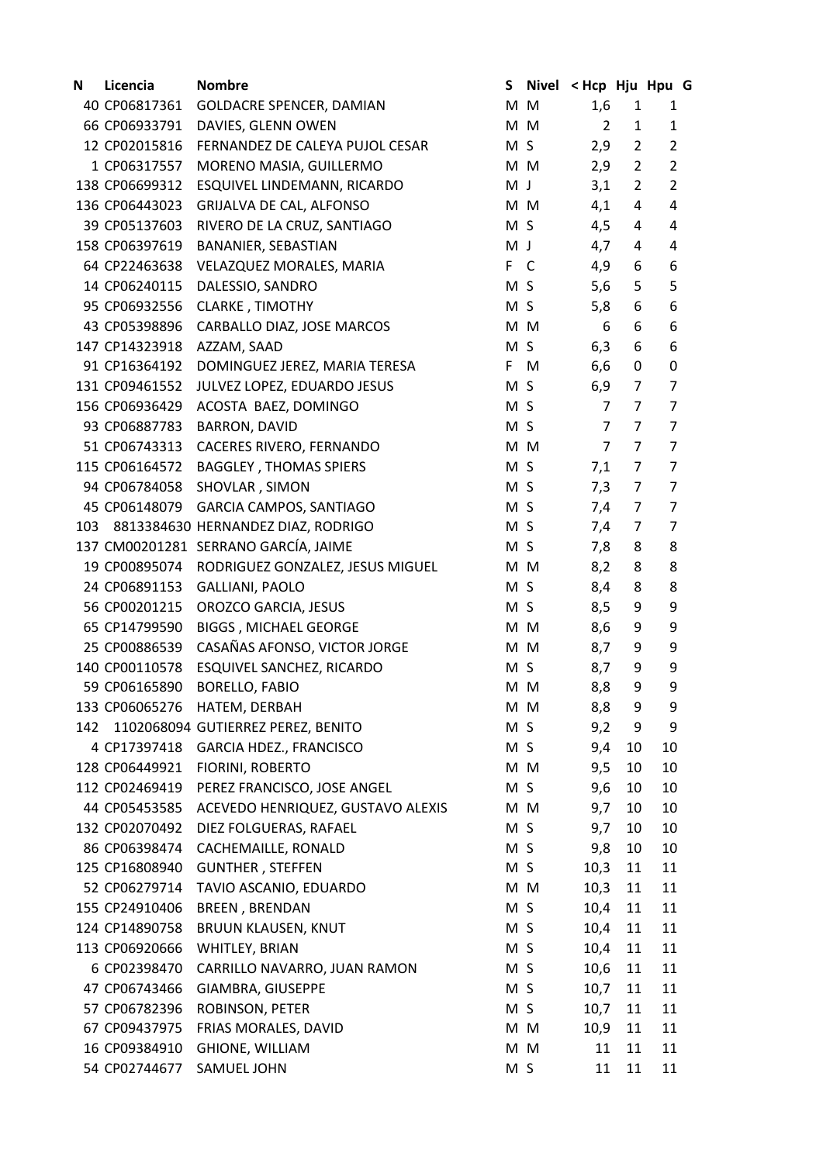| N   | Licencia       | <b>Nombre</b>                        | S              | <b>Nivel</b> | < Hcp Hju Hpu G |                |                         |  |
|-----|----------------|--------------------------------------|----------------|--------------|-----------------|----------------|-------------------------|--|
|     | 40 CP06817361  | GOLDACRE SPENCER, DAMIAN             | M M            |              | 1,6             | $\mathbf{1}$   | 1                       |  |
|     | 66 CP06933791  | DAVIES, GLENN OWEN                   | M M            |              | $\overline{2}$  | 1              | $\mathbf{1}$            |  |
|     | 12 CP02015816  | FERNANDEZ DE CALEYA PUJOL CESAR      | M <sub>S</sub> |              | 2,9             | $\overline{2}$ | $\overline{2}$          |  |
|     | 1 CP06317557   | MORENO MASIA, GUILLERMO              | M M            |              | 2,9             | $\overline{2}$ | $\overline{2}$          |  |
|     | 138 CP06699312 | ESQUIVEL LINDEMANN, RICARDO          | M J            |              | 3,1             | $\overline{2}$ | $\overline{2}$          |  |
|     | 136 CP06443023 | GRIJALVA DE CAL, ALFONSO             |                | M M          | 4,1             | 4              | $\overline{\mathbf{4}}$ |  |
|     | 39 CP05137603  | RIVERO DE LA CRUZ, SANTIAGO          | M <sub>S</sub> |              | 4,5             | 4              | 4                       |  |
|     | 158 CP06397619 | BANANIER, SEBASTIAN                  | M J            |              | 4,7             | 4              | 4                       |  |
|     | 64 CP22463638  | VELAZQUEZ MORALES, MARIA             | F.             | C            | 4,9             | 6              | 6                       |  |
|     | 14 CP06240115  | DALESSIO, SANDRO                     | M S            |              | 5,6             | 5              | 5                       |  |
|     | 95 CP06932556  | <b>CLARKE, TIMOTHY</b>               | M S            |              | 5,8             | 6              | 6                       |  |
|     | 43 CP05398896  | CARBALLO DIAZ, JOSE MARCOS           |                | M M          | 6               | 6              | 6                       |  |
|     | 147 CP14323918 | AZZAM, SAAD                          | M              | S            | 6,3             | 6              | 6                       |  |
|     | 91 CP16364192  | DOMINGUEZ JEREZ, MARIA TERESA        | F              | M            | 6,6             | 0              | $\mathbf 0$             |  |
|     | 131 CP09461552 | JULVEZ LOPEZ, EDUARDO JESUS          | M S            |              | 6,9             | $\overline{7}$ | 7                       |  |
|     | 156 CP06936429 | ACOSTA BAEZ, DOMINGO                 | M <sub>S</sub> |              | 7               | 7              | 7                       |  |
|     | 93 CP06887783  | <b>BARRON, DAVID</b>                 | M S            |              | $\overline{7}$  | 7              | $\overline{7}$          |  |
|     | 51 CP06743313  | CACERES RIVERO, FERNANDO             | M M            |              | $\overline{7}$  | 7              | $\overline{7}$          |  |
|     | 115 CP06164572 | <b>BAGGLEY, THOMAS SPIERS</b>        | M S            |              | 7,1             | $\overline{7}$ | $\overline{7}$          |  |
|     | 94 CP06784058  | SHOVLAR, SIMON                       | M S            |              | 7,3             | $\overline{7}$ | $\overline{7}$          |  |
|     | 45 CP06148079  | GARCIA CAMPOS, SANTIAGO              | M S            |              | 7,4             | $\overline{7}$ | $\overline{7}$          |  |
| 103 |                | 8813384630 HERNANDEZ DIAZ, RODRIGO   | M S            |              | 7,4             | 7              | 7                       |  |
|     |                | 137 CM00201281 SERRANO GARCÍA, JAIME | M S            |              | 7,8             | 8              | 8                       |  |
|     | 19 CP00895074  | RODRIGUEZ GONZALEZ, JESUS MIGUEL     | M M            |              | 8,2             | 8              | 8                       |  |
|     | 24 CP06891153  | GALLIANI, PAOLO                      | M S            |              | 8,4             | 8              | 8                       |  |
|     | 56 CP00201215  | OROZCO GARCIA, JESUS                 | M S            |              | 8,5             | 9              | 9                       |  |
|     | 65 CP14799590  | <b>BIGGS, MICHAEL GEORGE</b>         |                | M M          | 8,6             | 9              | 9                       |  |
|     | 25 CP00886539  | CASAÑAS AFONSO, VICTOR JORGE         | M M            |              | 8,7             | 9              | 9                       |  |
|     | 140 CP00110578 | ESQUIVEL SANCHEZ, RICARDO            | M S            |              | 8,7             | 9              | 9                       |  |
|     | 59 CP06165890  | <b>BORELLO, FABIO</b>                | M M            |              | 8,8             | 9              | 9                       |  |
|     | 133 CP06065276 | HATEM, DERBAH                        |                | M M          | 8,8             | 9              | 9                       |  |
| 142 |                | 1102068094 GUTIERREZ PEREZ, BENITO   | M <sub>S</sub> |              | 9,2             | 9              | 9                       |  |
|     | 4 CP17397418   | <b>GARCIA HDEZ., FRANCISCO</b>       | M S            |              | 9,4             | 10             | 10                      |  |
|     | 128 CP06449921 | FIORINI, ROBERTO                     | M M            |              | 9,5             | 10             | 10                      |  |
|     | 112 CP02469419 | PEREZ FRANCISCO, JOSE ANGEL          | M S            |              | 9,6             | 10             | 10                      |  |
|     | 44 CP05453585  | ACEVEDO HENRIQUEZ, GUSTAVO ALEXIS    |                | M M          | 9,7             | 10             | 10                      |  |
|     | 132 CP02070492 | DIEZ FOLGUERAS, RAFAEL               | M S            |              | 9,7             | 10             | 10                      |  |
|     | 86 CP06398474  | CACHEMAILLE, RONALD                  | M S            |              | 9,8             | 10             | 10                      |  |
|     | 125 CP16808940 | <b>GUNTHER, STEFFEN</b>              | M S            |              | 10,3            | 11             | 11                      |  |
|     | 52 CP06279714  | TAVIO ASCANIO, EDUARDO               |                | M M          | 10,3            | 11             | 11                      |  |
|     | 155 CP24910406 | <b>BREEN, BRENDAN</b>                | M S            |              | 10,4            | 11             | 11                      |  |
|     | 124 CP14890758 | <b>BRUUN KLAUSEN, KNUT</b>           | M S            |              | 10,4            | 11             | 11                      |  |
|     | 113 CP06920666 | WHITLEY, BRIAN                       | M S            |              | 10,4            | 11             | 11                      |  |
|     | 6 CP02398470   | CARRILLO NAVARRO, JUAN RAMON         | M S            |              | 10,6            | 11             | 11                      |  |
|     | 47 CP06743466  | GIAMBRA, GIUSEPPE                    | M S            |              | 10,7            | 11             | 11                      |  |
|     | 57 CP06782396  | ROBINSON, PETER                      | M S            |              | 10,7            | 11             | 11                      |  |
|     | 67 CP09437975  | FRIAS MORALES, DAVID                 |                | M M          | 10,9            | 11             | 11                      |  |
|     | 16 CP09384910  | <b>GHIONE, WILLIAM</b>               |                | M M          | 11              | 11             | 11                      |  |
|     | 54 CP02744677  | SAMUEL JOHN                          | M S            |              | 11              | 11             | 11                      |  |
|     |                |                                      |                |              |                 |                |                         |  |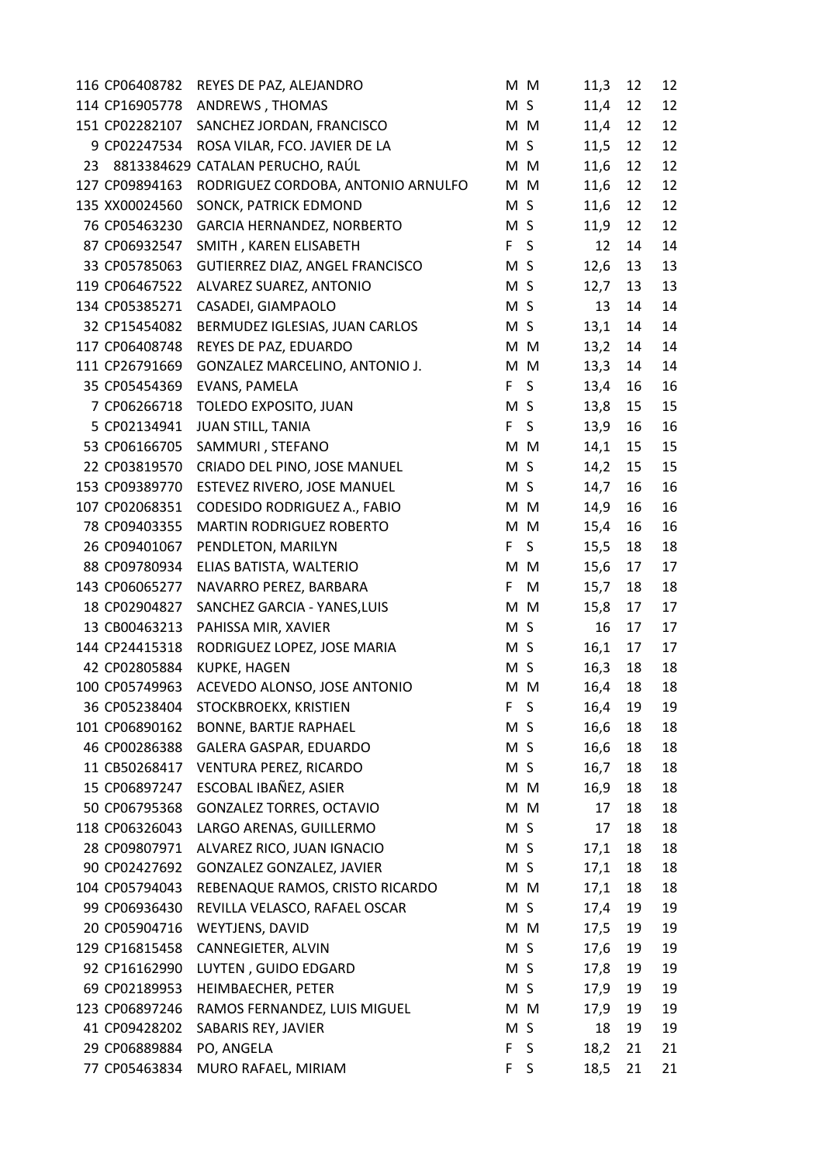|    | 116 CP06408782 | REYES DE PAZ, ALEJANDRO            |                | M M | 11,3 | 12 | 12 |
|----|----------------|------------------------------------|----------------|-----|------|----|----|
|    | 114 CP16905778 | ANDREWS, THOMAS                    | M S            |     | 11,4 | 12 | 12 |
|    | 151 CP02282107 | SANCHEZ JORDAN, FRANCISCO          |                | M M | 11,4 | 12 | 12 |
|    | 9 CP02247534   | ROSA VILAR, FCO. JAVIER DE LA      | M S            |     | 11,5 | 12 | 12 |
| 23 |                | 8813384629 CATALAN PERUCHO, RAÚL   |                | M M | 11,6 | 12 | 12 |
|    | 127 CP09894163 | RODRIGUEZ CORDOBA, ANTONIO ARNULFO |                | M M | 11,6 | 12 | 12 |
|    | 135 XX00024560 | SONCK, PATRICK EDMOND              | M S            |     | 11,6 | 12 | 12 |
|    | 76 CP05463230  | GARCIA HERNANDEZ, NORBERTO         | M S            |     | 11,9 | 12 | 12 |
|    | 87 CP06932547  | SMITH, KAREN ELISABETH             | F S            |     | 12   | 14 | 14 |
|    | 33 CP05785063  | GUTIERREZ DIAZ, ANGEL FRANCISCO    | M <sub>S</sub> |     | 12,6 | 13 | 13 |
|    | 119 CP06467522 | ALVAREZ SUAREZ, ANTONIO            | M S            |     | 12,7 | 13 | 13 |
|    | 134 CP05385271 | CASADEI, GIAMPAOLO                 | M S            |     | 13   | 14 | 14 |
|    | 32 CP15454082  | BERMUDEZ IGLESIAS, JUAN CARLOS     | M S            |     | 13,1 | 14 | 14 |
|    | 117 CP06408748 | REYES DE PAZ, EDUARDO              |                | M M | 13,2 | 14 | 14 |
|    | 111 CP26791669 | GONZALEZ MARCELINO, ANTONIO J.     |                | M M | 13,3 | 14 | 14 |
|    | 35 CP05454369  | EVANS, PAMELA                      | F S            |     | 13,4 | 16 | 16 |
|    | 7 CP06266718   | TOLEDO EXPOSITO, JUAN              | M S            |     | 13,8 | 15 | 15 |
|    | 5 CP02134941   | <b>JUAN STILL, TANIA</b>           | F.             | S   | 13,9 | 16 | 16 |
|    | 53 CP06166705  | SAMMURI, STEFANO                   |                | M M | 14,1 | 15 | 15 |
|    | 22 CP03819570  | CRIADO DEL PINO, JOSE MANUEL       | M S            |     | 14,2 | 15 | 15 |
|    | 153 CP09389770 | ESTEVEZ RIVERO, JOSE MANUEL        | M S            |     | 14,7 | 16 | 16 |
|    | 107 CP02068351 | CODESIDO RODRIGUEZ A., FABIO       |                | M M | 14,9 | 16 | 16 |
|    | 78 CP09403355  | <b>MARTIN RODRIGUEZ ROBERTO</b>    |                | M M | 15,4 | 16 | 16 |
|    | 26 CP09401067  | PENDLETON, MARILYN                 | F              | S.  | 15,5 | 18 | 18 |
|    | 88 CP09780934  | ELIAS BATISTA, WALTERIO            |                | M M | 15,6 | 17 | 17 |
|    | 143 CP06065277 | NAVARRO PEREZ, BARBARA             | F              | M   | 15,7 | 18 | 18 |
|    | 18 CP02904827  | SANCHEZ GARCIA - YANES, LUIS       |                | M M | 15,8 | 17 | 17 |
|    | 13 CB00463213  | PAHISSA MIR, XAVIER                | M S            |     | 16   | 17 | 17 |
|    | 144 CP24415318 | RODRIGUEZ LOPEZ, JOSE MARIA        | M <sub>S</sub> |     | 16,1 | 17 | 17 |
|    | 42 CP02805884  | <b>KUPKE, HAGEN</b>                | M S            |     | 16,3 | 18 | 18 |
|    | 100 CP05749963 | ACEVEDO ALONSO, JOSE ANTONIO       |                | M M | 16,4 | 18 | 18 |
|    | 36 CP05238404  | STOCKBROEKX, KRISTIEN              | F.             | S   | 16,4 | 19 | 19 |
|    | 101 CP06890162 | <b>BONNE, BARTJE RAPHAEL</b>       | M S            |     | 16,6 | 18 | 18 |
|    | 46 CP00286388  | GALERA GASPAR, EDUARDO             | M S            |     | 16,6 | 18 | 18 |
|    | 11 CB50268417  | VENTURA PEREZ, RICARDO             | M S            |     | 16,7 | 18 | 18 |
|    | 15 CP06897247  | ESCOBAL IBAÑEZ, ASIER              |                | M M | 16,9 | 18 | 18 |
|    | 50 CP06795368  | <b>GONZALEZ TORRES, OCTAVIO</b>    |                | M M | 17   | 18 | 18 |
|    | 118 CP06326043 | LARGO ARENAS, GUILLERMO            |                | M S | 17   | 18 | 18 |
|    | 28 CP09807971  | ALVAREZ RICO, JUAN IGNACIO         | M S            |     | 17,1 | 18 | 18 |
|    | 90 CP02427692  | GONZALEZ GONZALEZ, JAVIER          | M S            |     | 17,1 | 18 | 18 |
|    | 104 CP05794043 | REBENAQUE RAMOS, CRISTO RICARDO    |                | M M | 17,1 | 18 | 18 |
|    | 99 CP06936430  | REVILLA VELASCO, RAFAEL OSCAR      |                | M S | 17,4 | 19 | 19 |
|    | 20 CP05904716  | WEYTJENS, DAVID                    |                | M M | 17,5 | 19 | 19 |
|    | 129 CP16815458 | CANNEGIETER, ALVIN                 | M S            |     | 17,6 | 19 | 19 |
|    | 92 CP16162990  | LUYTEN, GUIDO EDGARD               | M S            |     | 17,8 | 19 | 19 |
|    | 69 CP02189953  | HEIMBAECHER, PETER                 | M S            |     | 17,9 | 19 | 19 |
|    | 123 CP06897246 | RAMOS FERNANDEZ, LUIS MIGUEL       |                | M M | 17,9 | 19 | 19 |
|    | 41 CP09428202  | SABARIS REY, JAVIER                | M S            |     | 18   | 19 | 19 |
|    | 29 CP06889884  | PO, ANGELA                         | F.             | S   | 18,2 | 21 | 21 |
|    | 77 CP05463834  | MURO RAFAEL, MIRIAM                | F.             | S   | 18,5 | 21 | 21 |